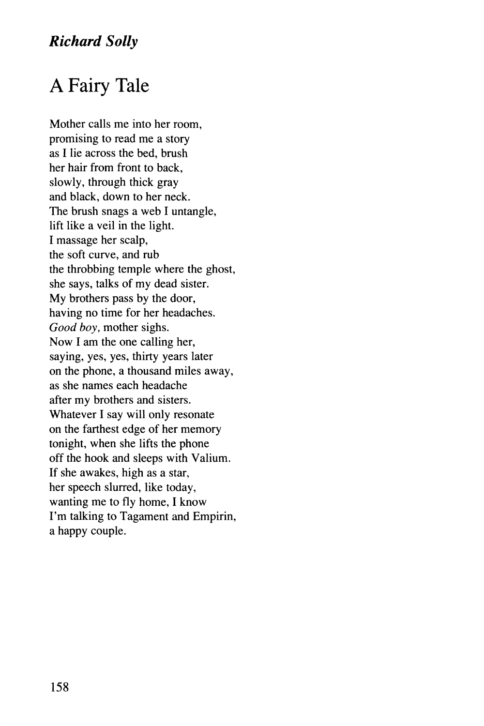## *Richard Solly*

## A Fairy Tale

Mother calls me into her room, promising to read me a story as I lie across the bed, brush her hair from front to back, slowly, through thick gray and black, down to her neck. The brush snags a web I untangle, lift like a veil in the light. I massage her scalp, the soft curve, and rub the throbbing temple where the ghost, she says, talks of my dead sister. My brothers pass by the door, having no time for her headaches. *Good boy,* mother sighs. Now I am the one calling her, saying, yes, yes, thirty years later on the phone, a thousand miles away, as she names each headache after my brothers and sisters. Whatever I say will only resonate on the farthest edge of her memory tonight, when she lifts the phone off the hook and sleeps with Valium. If she awakes, high as a star, her speech slurred, like today, wanting me to fly home, I know I'm talking to Tagament and Empirin, a happy couple.